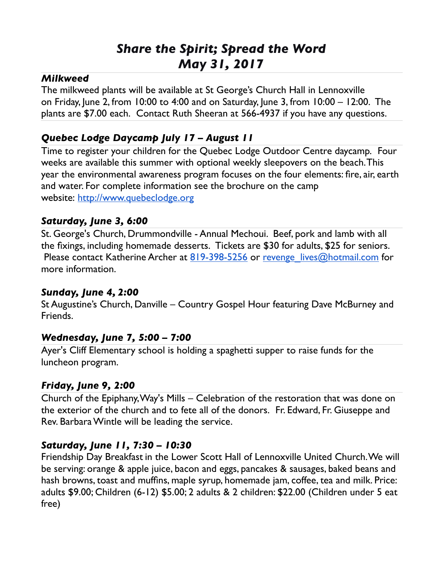# *Share the Spirit; Spread the Word May 31, 2017*

#### *Milkweed*

The milkweed plants will be available at St George's Church Hall in Lennoxville on Friday, June 2, from 10:00 to 4:00 and on Saturday, June 3, from 10:00 – 12:00. The plants are \$7.00 each. Contact Ruth Sheeran at 566-4937 if you have any questions.

## *Quebec Lodge Daycamp July 17 – August 11*

Time to register your children for the Quebec Lodge Outdoor Centre daycamp. Four weeks are available this summer with optional weekly sleepovers on the beach. This year the environmental awareness program focuses on the four elements: fire, air, earth and water. For complete information see the brochure on the camp website: [http://www.quebeclodge.org](http://www.quebeclodge.org/)

## *Saturday, June 3, 6:00*

St. George's Church, Drummondville - Annual Mechoui. Beef, pork and lamb with all the fixings, including homemade desserts. Tickets are \$30 for adults, \$25 for seniors. Please contact Katherine Archer at [819-398-5256](tel:(819)%20398-5256) or revenge lives@hotmail.com for more information.

## *Sunday, June 4, 2:00*

St Augustine's Church, Danville – Country Gospel Hour featuring Dave McBurney and Friends.

## *Wednesday, June 7, 5:00 – 7:00*

Ayer's Cliff Elementary school is holding a spaghetti supper to raise funds for the luncheon program.

## *Friday, June 9, 2:00*

Church of the Epiphany, Way's Mills – Celebration of the restoration that was done on the exterior of the church and to fete all of the donors. Fr. Edward, Fr. Giuseppe and Rev. Barbara Wintle will be leading the service.

## *Saturday, June 11, 7:30 – 10:30*

Friendship Day Breakfast in the Lower Scott Hall of Lennoxville United Church. We will be serving: orange & apple juice, bacon and eggs, pancakes & sausages, baked beans and hash browns, toast and muffins, maple syrup, homemade jam, coffee, tea and milk. Price: adults \$9.00; Children (6-12) \$5.00; 2 adults & 2 children: \$22.00 (Children under 5 eat free)